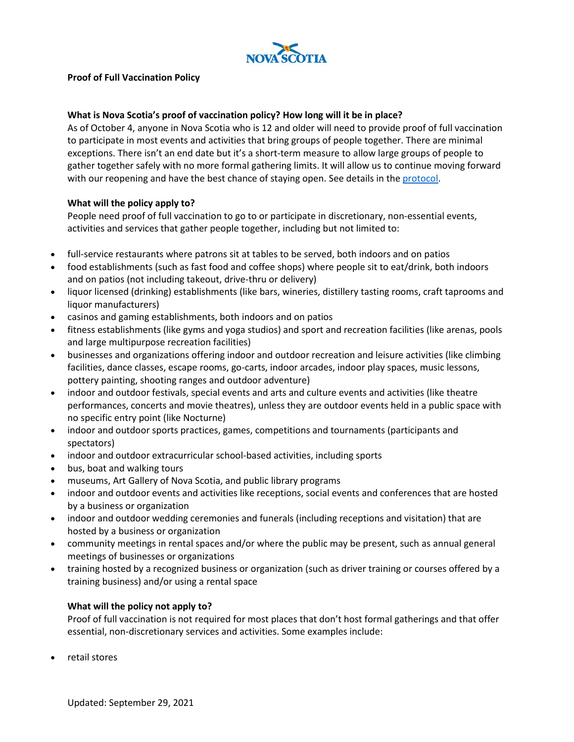

# **Proof of Full Vaccination Policy**

# **What is Nova Scotia's proof of vaccination policy? How long will it be in place?**

As of October 4, anyone in Nova Scotia who is 12 and older will need to provide proof of full vaccination to participate in most events and activities that bring groups of people together. There are minimal exceptions. There isn't an end date but it's a short-term measure to allow large groups of people to gather together safely with no more formal gathering limits. It will allow us to continue moving forward with our reopening and have the best chance of staying open. See details in th[e protocol.](https://novascotia.ca/coronavirus/docs/COVID-19-Protocol-for-proof-full-vaccination-events-activities-en.pdf)

## **What will the policy apply to?**

People need proof of full vaccination to go to or participate in discretionary, non-essential events, activities and services that gather people together, including but not limited to:

- full-service restaurants where patrons sit at tables to be served, both indoors and on patios
- food establishments (such as fast food and coffee shops) where people sit to eat/drink, both indoors and on patios (not including takeout, drive-thru or delivery)
- liquor licensed (drinking) establishments (like bars, wineries, distillery tasting rooms, craft taprooms and liquor manufacturers)
- casinos and gaming establishments, both indoors and on patios
- fitness establishments (like gyms and yoga studios) and sport and recreation facilities (like arenas, pools and large multipurpose recreation facilities)
- businesses and organizations offering indoor and outdoor recreation and leisure activities (like climbing facilities, dance classes, escape rooms, go-carts, indoor arcades, indoor play spaces, music lessons, pottery painting, shooting ranges and outdoor adventure)
- indoor and outdoor festivals, special events and arts and culture events and activities (like theatre performances, concerts and movie theatres), unless they are outdoor events held in a public space with no specific entry point (like Nocturne)
- indoor and outdoor sports practices, games, competitions and tournaments (participants and spectators)
- indoor and outdoor extracurricular school-based activities, including sports
- bus, boat and walking tours
- museums, Art Gallery of Nova Scotia, and public library programs
- indoor and outdoor events and activities like receptions, social events and conferences that are hosted by a business or organization
- indoor and outdoor wedding ceremonies and funerals (including receptions and visitation) that are hosted by a business or organization
- community meetings in rental spaces and/or where the public may be present, such as annual general meetings of businesses or organizations
- training hosted by a recognized business or organization (such as driver training or courses offered by a training business) and/or using a rental space

#### **What will the policy not apply to?**

Proof of full vaccination is not required for most places that don't host formal gatherings and that offer essential, non-discretionary services and activities. Some examples include:

• retail stores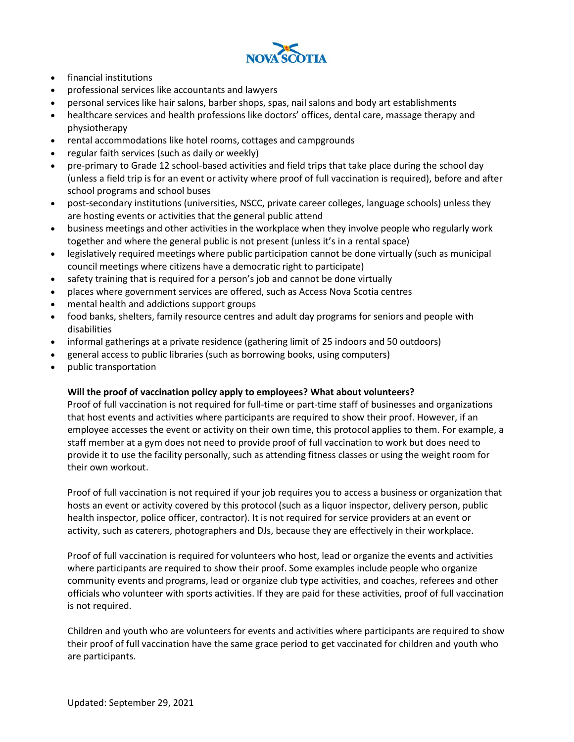

- financial institutions
- professional services like accountants and lawyers
- personal services like hair salons, barber shops, spas, nail salons and body art establishments
- healthcare services and health professions like doctors' offices, dental care, massage therapy and physiotherapy
- rental accommodations like hotel rooms, cottages and campgrounds
- regular faith services (such as daily or weekly)
- pre-primary to Grade 12 school-based activities and field trips that take place during the school day (unless a field trip is for an event or activity where proof of full vaccination is required), before and after school programs and school buses
- post-secondary institutions (universities, NSCC, private career colleges, language schools) unless they are hosting events or activities that the general public attend
- business meetings and other activities in the workplace when they involve people who regularly work together and where the general public is not present (unless it's in a rental space)
- legislatively required meetings where public participation cannot be done virtually (such as municipal council meetings where citizens have a democratic right to participate)
- safety training that is required for a person's job and cannot be done virtually
- places where government services are offered, such as Access Nova Scotia centres
- mental health and addictions support groups
- food banks, shelters, family resource centres and adult day programs for seniors and people with disabilities
- informal gatherings at a private residence (gathering limit of 25 indoors and 50 outdoors)
- general access to public libraries (such as borrowing books, using computers)
- public transportation

# **Will the proof of vaccination policy apply to employees? What about volunteers?**

Proof of full vaccination is not required for full-time or part-time staff of businesses and organizations that host events and activities where participants are required to show their proof. However, if an employee accesses the event or activity on their own time, this protocol applies to them. For example, a staff member at a gym does not need to provide proof of full vaccination to work but does need to provide it to use the facility personally, such as attending fitness classes or using the weight room for their own workout.

Proof of full vaccination is not required if your job requires you to access a business or organization that hosts an event or activity covered by this protocol (such as a liquor inspector, delivery person, public health inspector, police officer, contractor). It is not required for service providers at an event or activity, such as caterers, photographers and DJs, because they are effectively in their workplace.

Proof of full vaccination is required for volunteers who host, lead or organize the events and activities where participants are required to show their proof. Some examples include people who organize community events and programs, lead or organize club type activities, and coaches, referees and other officials who volunteer with sports activities. If they are paid for these activities, proof of full vaccination is not required.

Children and youth who are volunteers for events and activities where participants are required to show their proof of full vaccination have the same grace period to get vaccinated for children and youth who are participants.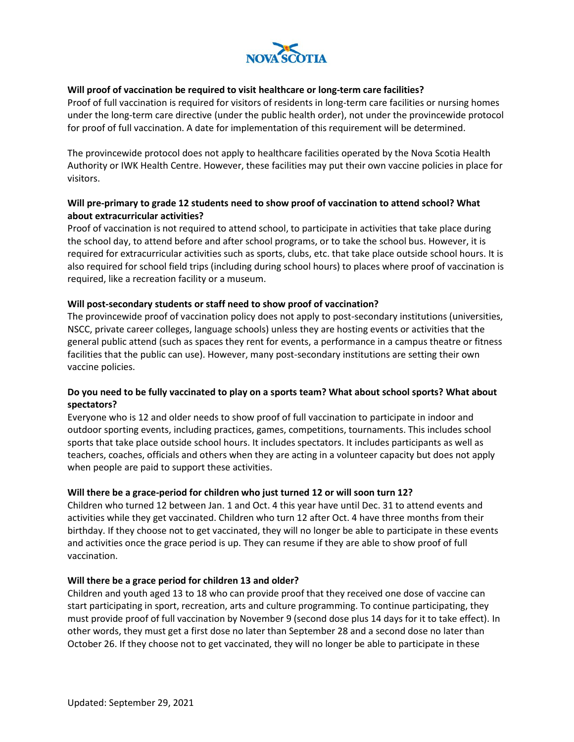

# **Will proof of vaccination be required to visit healthcare or long-term care facilities?**

Proof of full vaccination is required for visitors of residents in long-term care facilities or nursing homes under the long-term care directive (under the public health order), not under the provincewide protocol for proof of full vaccination. A date for implementation of this requirement will be determined.

The provincewide protocol does not apply to healthcare facilities operated by the Nova Scotia Health Authority or IWK Health Centre. However, these facilities may put their own vaccine policies in place for visitors.

# **Will pre-primary to grade 12 students need to show proof of vaccination to attend school? What about extracurricular activities?**

Proof of vaccination is not required to attend school, to participate in activities that take place during the school day, to attend before and after school programs, or to take the school bus. However, it is required for extracurricular activities such as sports, clubs, etc. that take place outside school hours. It is also required for school field trips (including during school hours) to places where proof of vaccination is required, like a recreation facility or a museum.

# **Will post-secondary students or staff need to show proof of vaccination?**

The provincewide proof of vaccination policy does not apply to post-secondary institutions (universities, NSCC, private career colleges, language schools) unless they are hosting events or activities that the general public attend (such as spaces they rent for events, a performance in a campus theatre or fitness facilities that the public can use). However, many post-secondary institutions are setting their own vaccine policies.

# **Do you need to be fully vaccinated to play on a sports team? What about school sports? What about spectators?**

Everyone who is 12 and older needs to show proof of full vaccination to participate in indoor and outdoor sporting events, including practices, games, competitions, tournaments. This includes school sports that take place outside school hours. It includes spectators. It includes participants as well as teachers, coaches, officials and others when they are acting in a volunteer capacity but does not apply when people are paid to support these activities.

# **Will there be a grace-period for children who just turned 12 or will soon turn 12?**

Children who turned 12 between Jan. 1 and Oct. 4 this year have until Dec. 31 to attend events and activities while they get vaccinated. Children who turn 12 after Oct. 4 have three months from their birthday. If they choose not to get vaccinated, they will no longer be able to participate in these events and activities once the grace period is up. They can resume if they are able to show proof of full vaccination.

# **Will there be a grace period for children 13 and older?**

Children and youth aged 13 to 18 who can provide proof that they received one dose of vaccine can start participating in sport, recreation, arts and culture programming. To continue participating, they must provide proof of full vaccination by November 9 (second dose plus 14 days for it to take effect). In other words, they must get a first dose no later than September 28 and a second dose no later than October 26. If they choose not to get vaccinated, they will no longer be able to participate in these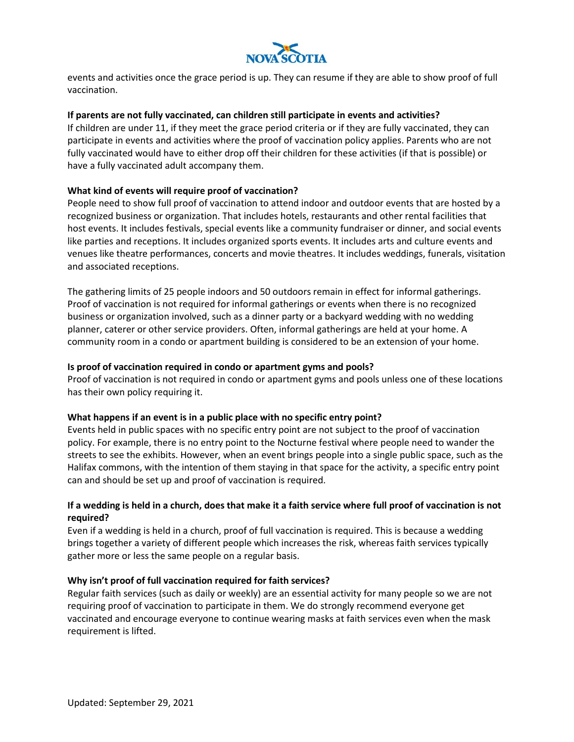

events and activities once the grace period is up. They can resume if they are able to show proof of full vaccination.

## **If parents are not fully vaccinated, can children still participate in events and activities?**

If children are under 11, if they meet the grace period criteria or if they are fully vaccinated, they can participate in events and activities where the proof of vaccination policy applies. Parents who are not fully vaccinated would have to either drop off their children for these activities (if that is possible) or have a fully vaccinated adult accompany them.

## **What kind of events will require proof of vaccination?**

People need to show full proof of vaccination to attend indoor and outdoor events that are hosted by a recognized business or organization. That includes hotels, restaurants and other rental facilities that host events. It includes festivals, special events like a community fundraiser or dinner, and social events like parties and receptions. It includes organized sports events. It includes arts and culture events and venues like theatre performances, concerts and movie theatres. It includes weddings, funerals, visitation and associated receptions.

The gathering limits of 25 people indoors and 50 outdoors remain in effect for informal gatherings. Proof of vaccination is not required for informal gatherings or events when there is no recognized business or organization involved, such as a dinner party or a backyard wedding with no wedding planner, caterer or other service providers. Often, informal gatherings are held at your home. A community room in a condo or apartment building is considered to be an extension of your home.

#### **Is proof of vaccination required in condo or apartment gyms and pools?**

Proof of vaccination is not required in condo or apartment gyms and pools unless one of these locations has their own policy requiring it.

#### **What happens if an event is in a public place with no specific entry point?**

Events held in public spaces with no specific entry point are not subject to the proof of vaccination policy. For example, there is no entry point to the Nocturne festival where people need to wander the streets to see the exhibits. However, when an event brings people into a single public space, such as the Halifax commons, with the intention of them staying in that space for the activity, a specific entry point can and should be set up and proof of vaccination is required.

# **If a wedding is held in a church, does that make it a faith service where full proof of vaccination is not required?**

Even if a wedding is held in a church, proof of full vaccination is required. This is because a wedding brings together a variety of different people which increases the risk, whereas faith services typically gather more or less the same people on a regular basis.

#### **Why isn't proof of full vaccination required for faith services?**

Regular faith services (such as daily or weekly) are an essential activity for many people so we are not requiring proof of vaccination to participate in them. We do strongly recommend everyone get vaccinated and encourage everyone to continue wearing masks at faith services even when the mask requirement is lifted.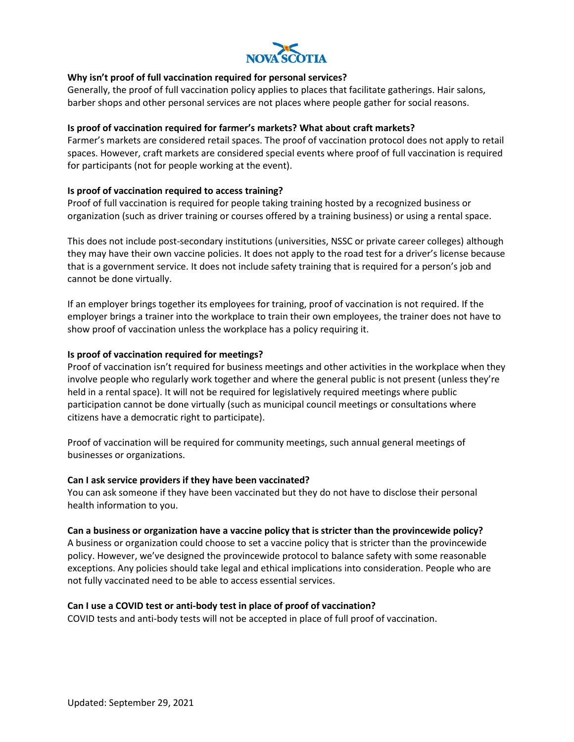

# **Why isn't proof of full vaccination required for personal services?**

Generally, the proof of full vaccination policy applies to places that facilitate gatherings. Hair salons, barber shops and other personal services are not places where people gather for social reasons.

## **Is proof of vaccination required for farmer's markets? What about craft markets?**

Farmer's markets are considered retail spaces. The proof of vaccination protocol does not apply to retail spaces. However, craft markets are considered special events where proof of full vaccination is required for participants (not for people working at the event).

## **Is proof of vaccination required to access training?**

Proof of full vaccination is required for people taking training hosted by a recognized business or organization (such as driver training or courses offered by a training business) or using a rental space.

This does not include post-secondary institutions (universities, NSSC or private career colleges) although they may have their own vaccine policies. It does not apply to the road test for a driver's license because that is a government service. It does not include safety training that is required for a person's job and cannot be done virtually.

If an employer brings together its employees for training, proof of vaccination is not required. If the employer brings a trainer into the workplace to train their own employees, the trainer does not have to show proof of vaccination unless the workplace has a policy requiring it.

## **Is proof of vaccination required for meetings?**

Proof of vaccination isn't required for business meetings and other activities in the workplace when they involve people who regularly work together and where the general public is not present (unless they're held in a rental space). It will not be required for legislatively required meetings where public participation cannot be done virtually (such as municipal council meetings or consultations where citizens have a democratic right to participate).

Proof of vaccination will be required for community meetings, such annual general meetings of businesses or organizations.

#### **Can I ask service providers if they have been vaccinated?**

You can ask someone if they have been vaccinated but they do not have to disclose their personal health information to you.

#### **Can a business or organization have a vaccine policy that is stricter than the provincewide policy?**

A business or organization could choose to set a vaccine policy that is stricter than the provincewide policy. However, we've designed the provincewide protocol to balance safety with some reasonable exceptions. Any policies should take legal and ethical implications into consideration. People who are not fully vaccinated need to be able to access essential services.

#### **Can I use a COVID test or anti-body test in place of proof of vaccination?**

COVID tests and anti-body tests will not be accepted in place of full proof of vaccination.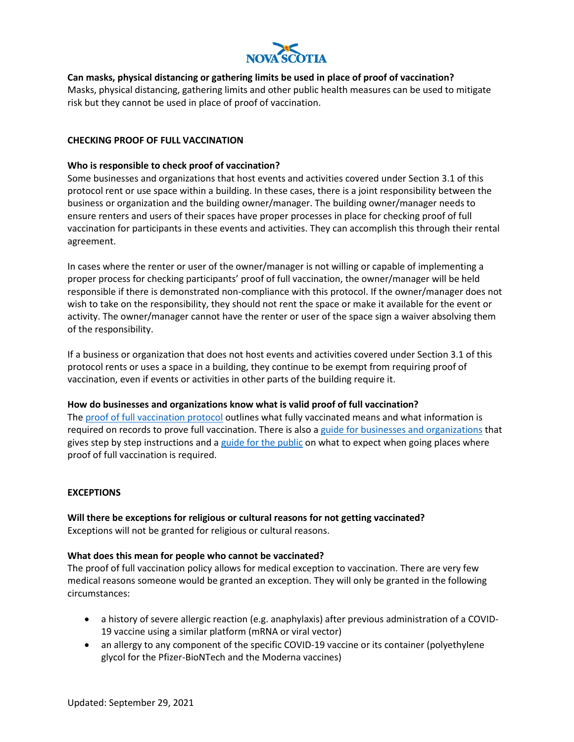

## **Can masks, physical distancing or gathering limits be used in place of proof of vaccination?**

Masks, physical distancing, gathering limits and other public health measures can be used to mitigate risk but they cannot be used in place of proof of vaccination.

## **CHECKING PROOF OF FULL VACCINATION**

## **Who is responsible to check proof of vaccination?**

Some businesses and organizations that host events and activities covered under Section 3.1 of this protocol rent or use space within a building. In these cases, there is a joint responsibility between the business or organization and the building owner/manager. The building owner/manager needs to ensure renters and users of their spaces have proper processes in place for checking proof of full vaccination for participants in these events and activities. They can accomplish this through their rental agreement.

In cases where the renter or user of the owner/manager is not willing or capable of implementing a proper process for checking participants' proof of full vaccination, the owner/manager will be held responsible if there is demonstrated non-compliance with this protocol. If the owner/manager does not wish to take on the responsibility, they should not rent the space or make it available for the event or activity. The owner/manager cannot have the renter or user of the space sign a waiver absolving them of the responsibility.

If a business or organization that does not host events and activities covered under Section 3.1 of this protocol rents or uses a space in a building, they continue to be exempt from requiring proof of vaccination, even if events or activities in other parts of the building require it.

#### **How do businesses and organizations know what is valid proof of full vaccination?**

The [proof of full vaccination protocol](https://novascotia.ca/coronavirus/docs/COVID-19-Protocol-for-proof-full-vaccination-events-activities-en.pdf) outlines what fully vaccinated means and what information is required on records to prove full vaccination. There is also a [guide for businesses and organizations](https://novascotia.ca/coronavirus/docs/proof-full-vaccination-guide-businesses-en.pdf) that gives step by step instructions and a [guide for the public](https://novascotia.ca/coronavirus/docs/proof-full-vaccination-guide-events-activities-en.pdf) on what to expect when going places where proof of full vaccination is required.

#### **EXCEPTIONS**

**Will there be exceptions for religious or cultural reasons for not getting vaccinated?** Exceptions will not be granted for religious or cultural reasons.

#### **What does this mean for people who cannot be vaccinated?**

The proof of full vaccination policy allows for medical exception to vaccination. There are very few medical reasons someone would be granted an exception. They will only be granted in the following circumstances:

- a history of severe allergic reaction (e.g. anaphylaxis) after previous administration of a COVID-19 vaccine using a similar platform (mRNA or viral vector)
- an allergy to any component of the specific COVID-19 vaccine or its container (polyethylene glycol for the Pfizer-BioNTech and the Moderna vaccines)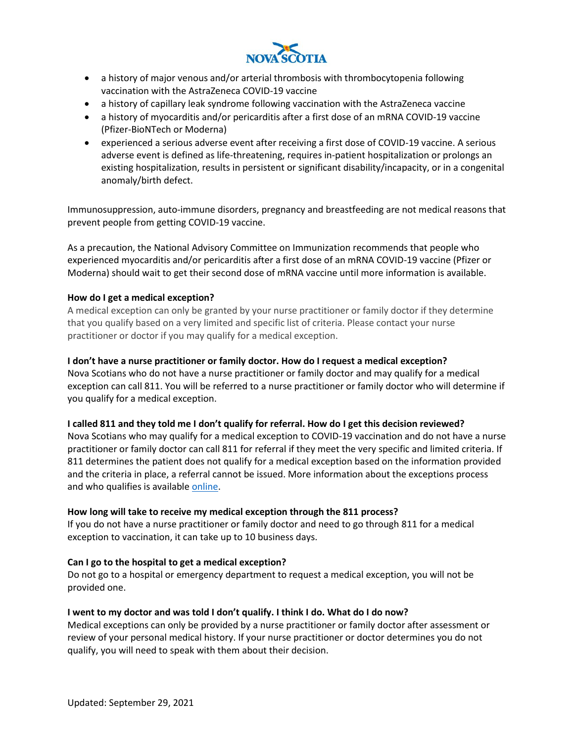

- a history of major venous and/or arterial thrombosis with thrombocytopenia following vaccination with the AstraZeneca COVID-19 vaccine
- a history of capillary leak syndrome following vaccination with the AstraZeneca vaccine
- a history of myocarditis and/or pericarditis after a first dose of an mRNA COVID-19 vaccine (Pfizer-BioNTech or Moderna)
- experienced a serious adverse event after receiving a first dose of COVID-19 vaccine. A serious adverse event is defined as life-threatening, requires in-patient hospitalization or prolongs an existing hospitalization, results in persistent or significant disability/incapacity, or in a congenital anomaly/birth defect.

Immunosuppression, auto-immune disorders, pregnancy and breastfeeding are not medical reasons that prevent people from getting COVID-19 vaccine.

As a precaution, the National Advisory Committee on Immunization recommends that people who experienced myocarditis and/or pericarditis after a first dose of an mRNA COVID-19 vaccine (Pfizer or Moderna) should wait to get their second dose of mRNA vaccine until more information is available.

# **How do I get a medical exception?**

A medical exception can only be granted by your nurse practitioner or family doctor if they determine that you qualify based on a very limited and specific list of criteria. Please contact your nurse practitioner or doctor if you may qualify for a medical exception.

# **I don't have a nurse practitioner or family doctor. How do I request a medical exception?**

Nova Scotians who do not have a nurse practitioner or family doctor and may qualify for a medical exception can call 811. You will be referred to a nurse practitioner or family doctor who will determine if you qualify for a medical exception.

# **I called 811 and they told me I don't qualify for referral. How do I get this decision reviewed?**

Nova Scotians who may qualify for a medical exception to COVID-19 vaccination and do not have a nurse practitioner or family doctor can call 811 for referral if they meet the very specific and limited criteria. If 811 determines the patient does not qualify for a medical exception based on the information provided and the criteria in place, a referral cannot be issued. More information about the exceptions process and who qualifies is availabl[e online.](https://novascotia.ca/coronavirus/proof-of-full-vaccination-policy/)

# **How long will take to receive my medical exception through the 811 process?**

If you do not have a nurse practitioner or family doctor and need to go through 811 for a medical exception to vaccination, it can take up to 10 business days.

# **Can I go to the hospital to get a medical exception?**

Do not go to a hospital or emergency department to request a medical exception, you will not be provided one.

# **I went to my doctor and was told I don't qualify. I think I do. What do I do now?**

Medical exceptions can only be provided by a nurse practitioner or family doctor after assessment or review of your personal medical history. If your nurse practitioner or doctor determines you do not qualify, you will need to speak with them about their decision.